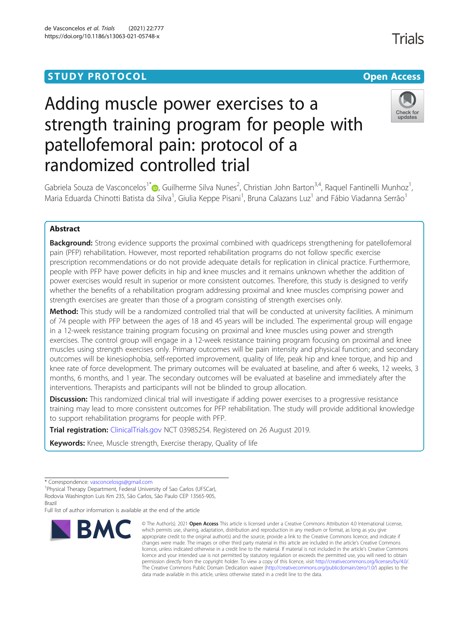# Adding muscle power exercises to a strength training program for people with patellofemoral pain: protocol of a randomized controlled trial



Gabriela Souza de Vasconcelos<sup>1[\\*](http://orcid.org/0000-0002-8292-4666)</sup> (**D**, Guilherme Silva Nunes<sup>2</sup>, Christian John Barton<sup>3,4</sup>, Raquel Fantinelli Munhoz<sup>1</sup> , Maria Eduarda Chinotti Batista da Silva<sup>1</sup>, Giulia Keppe Pisani<sup>1</sup>, Bruna Calazans Luz<sup>1</sup> and Fábio Viadanna Serrão<sup>1</sup>

# Abstract

**Background:** Strong evidence supports the proximal combined with quadriceps strengthening for patellofemoral pain (PFP) rehabilitation. However, most reported rehabilitation programs do not follow specific exercise prescription recommendations or do not provide adequate details for replication in clinical practice. Furthermore, people with PFP have power deficits in hip and knee muscles and it remains unknown whether the addition of power exercises would result in superior or more consistent outcomes. Therefore, this study is designed to verify whether the benefits of a rehabilitation program addressing proximal and knee muscles comprising power and strength exercises are greater than those of a program consisting of strength exercises only.

Method: This study will be a randomized controlled trial that will be conducted at university facilities. A minimum of 74 people with PFP between the ages of 18 and 45 years will be included. The experimental group will engage in a 12-week resistance training program focusing on proximal and knee muscles using power and strength exercises. The control group will engage in a 12-week resistance training program focusing on proximal and knee muscles using strength exercises only. Primary outcomes will be pain intensity and physical function; and secondary outcomes will be kinesiophobia, self-reported improvement, quality of life, peak hip and knee torque, and hip and knee rate of force development. The primary outcomes will be evaluated at baseline, and after 6 weeks, 12 weeks, 3 months, 6 months, and 1 year. The secondary outcomes will be evaluated at baseline and immediately after the interventions. Therapists and participants will not be blinded to group allocation.

Discussion: This randomized clinical trial will investigate if adding power exercises to a progressive resistance training may lead to more consistent outcomes for PFP rehabilitation. The study will provide additional knowledge to support rehabilitation programs for people with PFP.

Trial registration: [ClinicalTrials.gov](http://clinicaltrials.gov) NCT 03985254. Registered on 26 August 2019.

Keywords: Knee, Muscle strength, Exercise therapy, Quality of life

Full list of author information is available at the end of the article



<sup>©</sup> The Author(s), 2021 **Open Access** This article is licensed under a Creative Commons Attribution 4.0 International License, which permits use, sharing, adaptation, distribution and reproduction in any medium or format, as long as you give appropriate credit to the original author(s) and the source, provide a link to the Creative Commons licence, and indicate if changes were made. The images or other third party material in this article are included in the article's Creative Commons licence, unless indicated otherwise in a credit line to the material. If material is not included in the article's Creative Commons licence and your intended use is not permitted by statutory regulation or exceeds the permitted use, you will need to obtain permission directly from the copyright holder. To view a copy of this licence, visit [http://creativecommons.org/licenses/by/4.0/.](http://creativecommons.org/licenses/by/4.0/) The Creative Commons Public Domain Dedication waiver [\(http://creativecommons.org/publicdomain/zero/1.0/](http://creativecommons.org/publicdomain/zero/1.0/)) applies to the data made available in this article, unless otherwise stated in a credit line to the data.

**Trials** 

<sup>\*</sup> Correspondence: [vasconcelosgs@gmail.com](mailto:vasconcelosgs@gmail.com) <sup>1</sup>

<sup>&</sup>lt;sup>1</sup> Physical Therapy Department, Federal University of Sao Carlos (UFSCar), Rodovia Washington Luis Km 235, São Carlos, São Paulo CEP 13565-905,

Brazil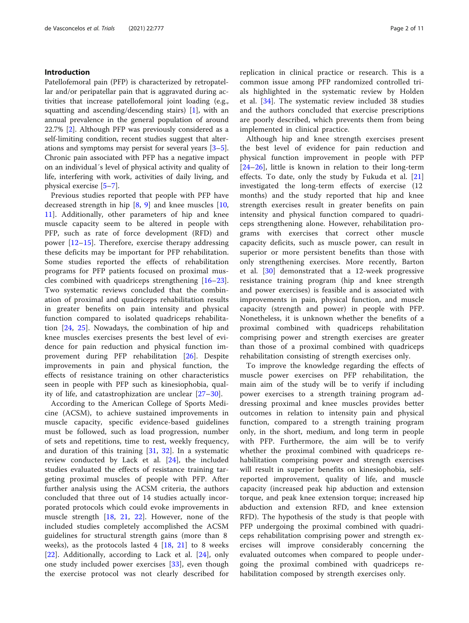# Introduction

Patellofemoral pain (PFP) is characterized by retropatellar and/or peripatellar pain that is aggravated during activities that increase patellofemoral joint loading (e.g., squatting and ascending/descending stairs) [[1\]](#page-8-0), with an annual prevalence in the general population of around 22.7% [\[2](#page-8-0)]. Although PFP was previously considered as a self-limiting condition, recent studies suggest that alterations and symptoms may persist for several years [\[3](#page-8-0)–[5](#page-8-0)]. Chronic pain associated with PFP has a negative impact on an individual´s level of physical activity and quality of life, interfering with work, activities of daily living, and physical exercise [[5](#page-8-0)–[7\]](#page-8-0).

Previous studies reported that people with PFP have decreased strength in hip  $[8, 9]$  $[8, 9]$  $[8, 9]$  $[8, 9]$  and knee muscles  $[10, 10]$  $[10, 10]$ [11\]](#page-8-0). Additionally, other parameters of hip and knee muscle capacity seem to be altered in people with PFP, such as rate of force development (RFD) and power [[12](#page-8-0)–[15\]](#page-9-0). Therefore, exercise therapy addressing these deficits may be important for PFP rehabilitation. Some studies reported the effects of rehabilitation programs for PFP patients focused on proximal muscles combined with quadriceps strengthening [\[16](#page-9-0)–[23](#page-9-0)]. Two systematic reviews concluded that the combination of proximal and quadriceps rehabilitation results in greater benefits on pain intensity and physical function compared to isolated quadriceps rehabilitation [\[24,](#page-9-0) [25\]](#page-9-0). Nowadays, the combination of hip and knee muscles exercises presents the best level of evidence for pain reduction and physical function improvement during PFP rehabilitation [[26\]](#page-9-0). Despite improvements in pain and physical function, the effects of resistance training on other characteristics seen in people with PFP such as kinesiophobia, quality of life, and catastrophization are unclear [\[27](#page-9-0)–[30](#page-9-0)].

According to the American College of Sports Medicine (ACSM), to achieve sustained improvements in muscle capacity, specific evidence-based guidelines must be followed, such as load progression, number of sets and repetitions, time to rest, weekly frequency, and duration of this training [[31,](#page-9-0) [32](#page-9-0)]. In a systematic review conducted by Lack et al. [[24\]](#page-9-0), the included studies evaluated the effects of resistance training targeting proximal muscles of people with PFP. After further analysis using the ACSM criteria, the authors concluded that three out of 14 studies actually incorporated protocols which could evoke improvements in muscle strength [[18,](#page-9-0) [21,](#page-9-0) [22\]](#page-9-0). However, none of the included studies completely accomplished the ACSM guidelines for structural strength gains (more than 8 weeks), as the protocols lasted  $4$  [[18](#page-9-0), [21\]](#page-9-0) to 8 weeks [[22\]](#page-9-0). Additionally, according to Lack et al. [\[24](#page-9-0)], only one study included power exercises [[33\]](#page-9-0), even though the exercise protocol was not clearly described for replication in clinical practice or research. This is a common issue among PFP randomized controlled trials highlighted in the systematic review by Holden et al. [\[34](#page-9-0)]. The systematic review included 38 studies and the authors concluded that exercise prescriptions are poorly described, which prevents them from being implemented in clinical practice.

Although hip and knee strength exercises present the best level of evidence for pain reduction and physical function improvement in people with PFP [[24](#page-9-0)–[26\]](#page-9-0), little is known in relation to their long-term effects. To date, only the study by Fukuda et al. [\[21](#page-9-0)] investigated the long-term effects of exercise (12 months) and the study reported that hip and knee strength exercises result in greater benefits on pain intensity and physical function compared to quadriceps strengthening alone. However, rehabilitation programs with exercises that correct other muscle capacity deficits, such as muscle power, can result in superior or more persistent benefits than those with only strengthening exercises. More recently, Barton et al. [[30\]](#page-9-0) demonstrated that a 12-week progressive resistance training program (hip and knee strength and power exercises) is feasible and is associated with improvements in pain, physical function, and muscle capacity (strength and power) in people with PFP. Nonetheless, it is unknown whether the benefits of a proximal combined with quadriceps rehabilitation comprising power and strength exercises are greater than those of a proximal combined with quadriceps rehabilitation consisting of strength exercises only.

To improve the knowledge regarding the effects of muscle power exercises on PFP rehabilitation, the main aim of the study will be to verify if including power exercises to a strength training program addressing proximal and knee muscles provides better outcomes in relation to intensity pain and physical function, compared to a strength training program only, in the short, medium, and long term in people with PFP. Furthermore, the aim will be to verify whether the proximal combined with quadriceps rehabilitation comprising power and strength exercises will result in superior benefits on kinesiophobia, selfreported improvement, quality of life, and muscle capacity (increased peak hip abduction and extension torque, and peak knee extension torque; increased hip abduction and extension RFD, and knee extension RFD). The hypothesis of the study is that people with PFP undergoing the proximal combined with quadriceps rehabilitation comprising power and strength exercises will improve considerably concerning the evaluated outcomes when compared to people undergoing the proximal combined with quadriceps rehabilitation composed by strength exercises only.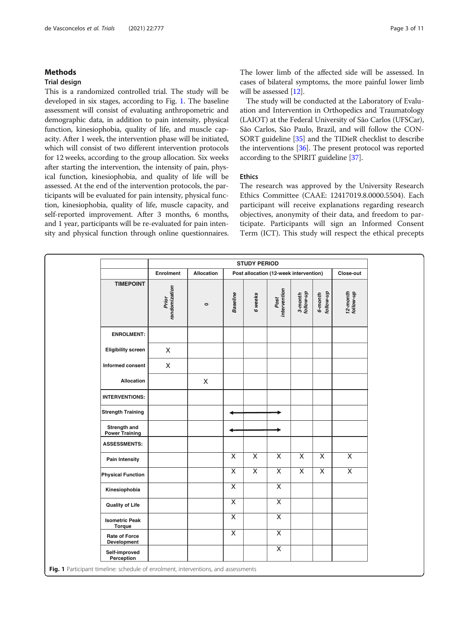# Methods

# Trial design

This is a randomized controlled trial. The study will be developed in six stages, according to Fig. 1. The baseline assessment will consist of evaluating anthropometric and demographic data, in addition to pain intensity, physical function, kinesiophobia, quality of life, and muscle capacity. After 1 week, the intervention phase will be initiated, which will consist of two different intervention protocols for 12 weeks, according to the group allocation. Six weeks after starting the intervention, the intensity of pain, physical function, kinesiophobia, and quality of life will be assessed. At the end of the intervention protocols, the participants will be evaluated for pain intensity, physical function, kinesiophobia, quality of life, muscle capacity, and self-reported improvement. After 3 months, 6 months, and 1 year, participants will be re-evaluated for pain intensity and physical function through online questionnaires. The lower limb of the affected side will be assessed. In cases of bilateral symptoms, the more painful lower limb will be assessed [\[12\]](#page-8-0).

The study will be conducted at the Laboratory of Evaluation and Intervention in Orthopedics and Traumatology (LAIOT) at the Federal University of São Carlos (UFSCar), São Carlos, São Paulo, Brazil, and will follow the CON-SORT guideline [\[35\]](#page-9-0) and the TIDieR checklist to describe the interventions [\[36](#page-9-0)]. The present protocol was reported according to the SPIRIT guideline [\[37\]](#page-9-0).

# Ethics

The research was approved by the University Research Ethics Committee (CAAE: 12417019.8.0000.5504). Each participant will receive explanations regarding research objectives, anonymity of their data, and freedom to participate. Participants will sign an Informed Consent Term (ICT). This study will respect the ethical precepts

|                                       | <b>STUDY PERIOD</b>    |                   |                                        |                         |                      |                         |                      |                         |
|---------------------------------------|------------------------|-------------------|----------------------------------------|-------------------------|----------------------|-------------------------|----------------------|-------------------------|
|                                       | Enrolment              | <b>Allocation</b> | Post allocation (12-week intervention) |                         |                      |                         |                      | Close-out               |
| <b>TIMEPOINT</b>                      | randomization<br>Prior | $\circ$           | <b>Baseline</b>                        | 6 weeks                 | Post<br>intervention | 3-month<br>follow-up    | 6-month<br>follow-up | 12-month<br>follow-up   |
| <b>ENROLMENT:</b>                     |                        |                   |                                        |                         |                      |                         |                      |                         |
| <b>Eligibility screen</b>             | X                      |                   |                                        |                         |                      |                         |                      |                         |
| Informed consent                      | X                      |                   |                                        |                         |                      |                         |                      |                         |
| Allocation                            |                        | $\mathsf X$       |                                        |                         |                      |                         |                      |                         |
| <b>INTERVENTIONS:</b>                 |                        |                   |                                        |                         |                      |                         |                      |                         |
| <b>Strength Training</b>              |                        |                   |                                        |                         |                      |                         |                      |                         |
| Strength and<br><b>Power Training</b> |                        |                   |                                        |                         |                      |                         |                      |                         |
| <b>ASSESSMENTS:</b>                   |                        |                   |                                        |                         |                      |                         |                      |                         |
| <b>Pain Intensity</b>                 |                        |                   | X                                      | X                       | X                    | X                       | X                    | $\overline{X}$          |
| <b>Physical Function</b>              |                        |                   | $\overline{\mathsf{x}}$                | $\overline{\mathsf{x}}$ | $\overline{X}$       | $\overline{\mathsf{X}}$ | $\overline{X}$       | $\overline{\mathsf{X}}$ |
| Kinesiophobia                         |                        |                   | $\overline{X}$                         |                         | $\overline{X}$       |                         |                      |                         |
| <b>Quality of Life</b>                |                        |                   | X                                      |                         | $\overline{X}$       |                         |                      |                         |
| <b>Isometric Peak</b><br>Torque       |                        |                   | $\overline{\mathsf{x}}$                |                         | $\overline{X}$       |                         |                      |                         |
| Rate of Force<br>Development          |                        |                   | X                                      |                         | $\overline{X}$       |                         |                      |                         |
| Self-improved<br>Perception           |                        |                   |                                        |                         | $\overline{X}$       |                         |                      |                         |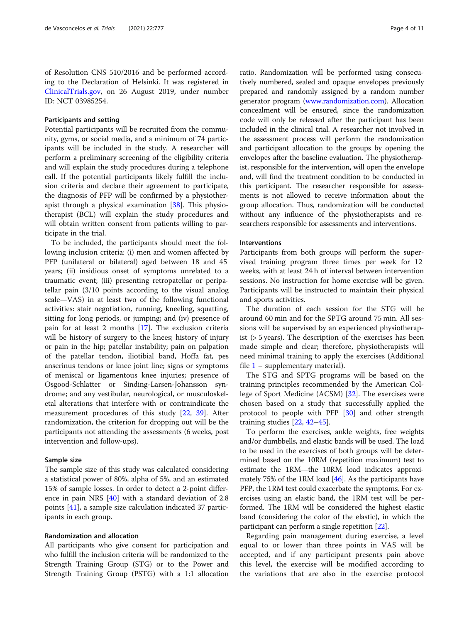of Resolution CNS 510/2016 and be performed according to the Declaration of Helsinki. It was registered in [ClinicalTrials.gov,](http://clinicaltrials.gov) on 26 August 2019, under number ID: NCT 03985254.

#### Participants and setting

Potential participants will be recruited from the community, gyms, or social media, and a minimum of 74 participants will be included in the study. A researcher will perform a preliminary screening of the eligibility criteria and will explain the study procedures during a telephone call. If the potential participants likely fulfill the inclusion criteria and declare their agreement to participate, the diagnosis of PFP will be confirmed by a physiotherapist through a physical examination [\[38\]](#page-9-0). This physiotherapist (BCL) will explain the study procedures and will obtain written consent from patients willing to participate in the trial.

To be included, the participants should meet the following inclusion criteria: (i) men and women affected by PFP (unilateral or bilateral) aged between 18 and 45 years; (ii) insidious onset of symptoms unrelated to a traumatic event; (iii) presenting retropatellar or peripatellar pain (3/10 points according to the visual analog scale—VAS) in at least two of the following functional activities: stair negotiation, running, kneeling, squatting, sitting for long periods, or jumping; and (iv) presence of pain for at least 2 months [\[17](#page-9-0)]. The exclusion criteria will be history of surgery to the knees; history of injury or pain in the hip; patellar instability; pain on palpation of the patellar tendon, iliotibial band, Hoffa fat, pes anserinus tendons or knee joint line; signs or symptoms of meniscal or ligamentous knee injuries; presence of Osgood-Schlatter or Sinding-Larsen-Johansson syndrome; and any vestibular, neurological, or musculoskeletal alterations that interfere with or contraindicate the measurement procedures of this study [[22,](#page-9-0) [39\]](#page-9-0). After randomization, the criterion for dropping out will be the participants not attending the assessments (6 weeks, post intervention and follow-ups).

#### Sample size

The sample size of this study was calculated considering a statistical power of 80%, alpha of 5%, and an estimated 15% of sample losses. In order to detect a 2-point difference in pain NRS [[40](#page-9-0)] with a standard deviation of 2.8 points [\[41\]](#page-9-0), a sample size calculation indicated 37 participants in each group.

# Randomization and allocation

All participants who give consent for participation and who fulfill the inclusion criteria will be randomized to the Strength Training Group (STG) or to the Power and Strength Training Group (PSTG) with a 1:1 allocation

ratio. Randomization will be performed using consecutively numbered, sealed and opaque envelopes previously prepared and randomly assigned by a random number generator program [\(www.randomization.com](http://www.randomization.com)). Allocation concealment will be ensured, since the randomization code will only be released after the participant has been included in the clinical trial. A researcher not involved in the assessment process will perform the randomization and participant allocation to the groups by opening the envelopes after the baseline evaluation. The physiotherapist, responsible for the intervention, will open the envelope and, will find the treatment condition to be conducted in this participant. The researcher responsible for assessments is not allowed to receive information about the group allocation. Thus, randomization will be conducted without any influence of the physiotherapists and researchers responsible for assessments and interventions.

#### Interventions

Participants from both groups will perform the supervised training program three times per week for 12 weeks, with at least 24 h of interval between intervention sessions. No instruction for home exercise will be given. Participants will be instructed to maintain their physical and sports activities.

The duration of each session for the STG will be around 60 min and for the SPTG around 75 min. All sessions will be supervised by an experienced physiotherapist (> 5 years). The description of the exercises has been made simple and clear; therefore, physiotherapists will need minimal training to apply the exercises (Additional file  $1$  – supplementary material).

The STG and SPTG programs will be based on the training principles recommended by the American College of Sport Medicine (ACSM) [\[32\]](#page-9-0). The exercises were chosen based on a study that successfully applied the protocol to people with PFP [[30\]](#page-9-0) and other strength training studies [[22,](#page-9-0) [42](#page-9-0)–[45](#page-9-0)].

To perform the exercises, ankle weights, free weights and/or dumbbells, and elastic bands will be used. The load to be used in the exercises of both groups will be determined based on the 10RM (repetition maximum) test to estimate the 1RM—the 10RM load indicates approximately 75% of the 1RM load  $[46]$  $[46]$ . As the participants have PFP, the 1RM test could exacerbate the symptoms. For exercises using an elastic band, the 1RM test will be performed. The 1RM will be considered the highest elastic band (considering the color of the elastic), in which the participant can perform a single repetition [\[22\]](#page-9-0).

Regarding pain management during exercise, a level equal to or lower than three points in VAS will be accepted, and if any participant presents pain above this level, the exercise will be modified according to the variations that are also in the exercise protocol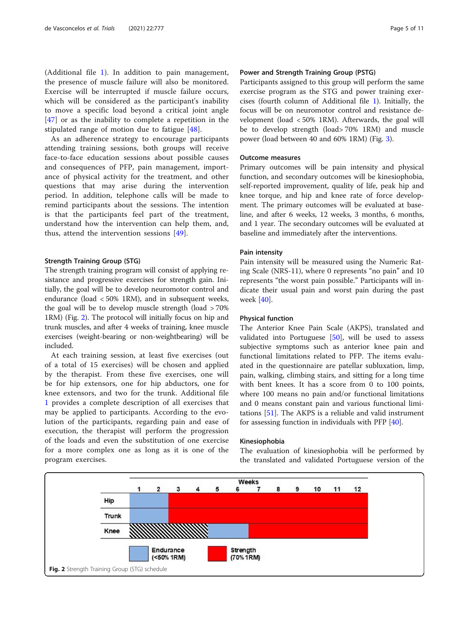(Additional file [1\)](#page-8-0). In addition to pain management, the presence of muscle failure will also be monitored. Exercise will be interrupted if muscle failure occurs, which will be considered as the participant's inability to move a specific load beyond a critical joint angle [[47\]](#page-9-0) or as the inability to complete a repetition in the stipulated range of motion due to fatigue [[48](#page-9-0)].

As an adherence strategy to encourage participants attending training sessions, both groups will receive face-to-face education sessions about possible causes and consequences of PFP, pain management, importance of physical activity for the treatment, and other questions that may arise during the intervention period. In addition, telephone calls will be made to remind participants about the sessions. The intention is that the participants feel part of the treatment, understand how the intervention can help them, and, thus, attend the intervention sessions [\[49](#page-10-0)].

### Strength Training Group (STG)

The strength training program will consist of applying resistance and progressive exercises for strength gain. Initially, the goal will be to develop neuromotor control and endurance (load < 50% 1RM), and in subsequent weeks, the goal will be to develop muscle strength (load > 70% 1RM) (Fig. 2). The protocol will initially focus on hip and trunk muscles, and after 4 weeks of training, knee muscle exercises (weight-bearing or non-weightbearing) will be included.

At each training session, at least five exercises (out of a total of 15 exercises) will be chosen and applied by the therapist. From these five exercises, one will be for hip extensors, one for hip abductors, one for knee extensors, and two for the trunk. Additional file [1](#page-8-0) provides a complete description of all exercises that may be applied to participants. According to the evolution of the participants, regarding pain and ease of execution, the therapist will perform the progression of the loads and even the substitution of one exercise for a more complex one as long as it is one of the program exercises.

# Power and Strength Training Group (PSTG)

Participants assigned to this group will perform the same exercise program as the STG and power training exercises (fourth column of Additional file [1](#page-8-0)). Initially, the focus will be on neuromotor control and resistance development (load < 50% 1RM). Afterwards, the goal will be to develop strength (load> 70% 1RM) and muscle power (load between 40 and 60% 1RM) (Fig. [3](#page-5-0)).

# Outcome measures

Primary outcomes will be pain intensity and physical function, and secondary outcomes will be kinesiophobia, self-reported improvement, quality of life, peak hip and knee torque, and hip and knee rate of force development. The primary outcomes will be evaluated at baseline, and after 6 weeks, 12 weeks, 3 months, 6 months, and 1 year. The secondary outcomes will be evaluated at baseline and immediately after the interventions.

#### Pain intensity

Pain intensity will be measured using the Numeric Rating Scale (NRS-11), where 0 represents "no pain" and 10 represents "the worst pain possible." Participants will indicate their usual pain and worst pain during the past week [\[40](#page-9-0)].

#### Physical function

The Anterior Knee Pain Scale (AKPS), translated and validated into Portuguese  $[50]$  $[50]$ , will be used to assess subjective symptoms such as anterior knee pain and functional limitations related to PFP. The items evaluated in the questionnaire are patellar subluxation, limp, pain, walking, climbing stairs, and sitting for a long time with bent knees. It has a score from 0 to 100 points, where 100 means no pain and/or functional limitations and 0 means constant pain and various functional limitations [[51](#page-10-0)]. The AKPS is a reliable and valid instrument for assessing function in individuals with PFP [\[40\]](#page-9-0).

#### Kinesiophobia

The evaluation of kinesiophobia will be performed by the translated and validated Portuguese version of the

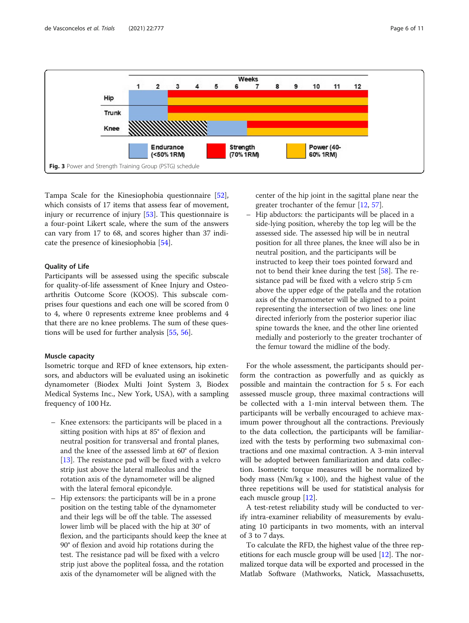<span id="page-5-0"></span>

Tampa Scale for the Kinesiophobia questionnaire [\[52](#page-10-0)], which consists of 17 items that assess fear of movement, injury or recurrence of injury [\[53\]](#page-10-0). This questionnaire is a four-point Likert scale, where the sum of the answers can vary from 17 to 68, and scores higher than 37 indicate the presence of kinesiophobia [[54\]](#page-10-0).

# Quality of Life

Participants will be assessed using the specific subscale for quality-of-life assessment of Knee Injury and Osteoarthritis Outcome Score (KOOS). This subscale comprises four questions and each one will be scored from 0 to 4, where 0 represents extreme knee problems and 4 that there are no knee problems. The sum of these questions will be used for further analysis [[55](#page-10-0), [56](#page-10-0)].

#### Muscle capacity

Isometric torque and RFD of knee extensors, hip extensors, and abductors will be evaluated using an isokinetic dynamometer (Biodex Multi Joint System 3, Biodex Medical Systems Inc., New York, USA), with a sampling frequency of 100 Hz.

- Knee extensors: the participants will be placed in a sitting position with hips at 85° of flexion and neutral position for transversal and frontal planes, and the knee of the assessed limb at 60° of flexion [[13](#page-8-0)]. The resistance pad will be fixed with a velcro strip just above the lateral malleolus and the rotation axis of the dynamometer will be aligned with the lateral femoral epicondyle.
- Hip extensors: the participants will be in a prone position on the testing table of the dynamometer and their legs will be off the table. The assessed lower limb will be placed with the hip at 30° of flexion, and the participants should keep the knee at 90° of flexion and avoid hip rotations during the test. The resistance pad will be fixed with a velcro strip just above the popliteal fossa, and the rotation axis of the dynamometer will be aligned with the

center of the hip joint in the sagittal plane near the greater trochanter of the femur [\[12](#page-8-0), [57\]](#page-10-0).

– Hip abductors: the participants will be placed in a side-lying position, whereby the top leg will be the assessed side. The assessed hip will be in neutral position for all three planes, the knee will also be in neutral position, and the participants will be instructed to keep their toes pointed forward and not to bend their knee during the test [[58](#page-10-0)]. The resistance pad will be fixed with a velcro strip 5 cm above the upper edge of the patella and the rotation axis of the dynamometer will be aligned to a point representing the intersection of two lines: one line directed inferiorly from the posterior superior iliac spine towards the knee, and the other line oriented medially and posteriorly to the greater trochanter of the femur toward the midline of the body.

For the whole assessment, the participants should perform the contraction as powerfully and as quickly as possible and maintain the contraction for 5 s. For each assessed muscle group, three maximal contractions will be collected with a 1-min interval between them. The participants will be verbally encouraged to achieve maximum power throughout all the contractions. Previously to the data collection, the participants will be familiarized with the tests by performing two submaximal contractions and one maximal contraction. A 3-min interval will be adopted between familiarization and data collection. Isometric torque measures will be normalized by body mass (Nm/kg  $\times$  100), and the highest value of the three repetitions will be used for statistical analysis for each muscle group [[12\]](#page-8-0).

A test-retest reliability study will be conducted to verify intra-examiner reliability of measurements by evaluating 10 participants in two moments, with an interval of 3 to 7 days.

To calculate the RFD, the highest value of the three repetitions for each muscle group will be used [\[12\]](#page-8-0). The normalized torque data will be exported and processed in the Matlab Software (Mathworks, Natick, Massachusetts,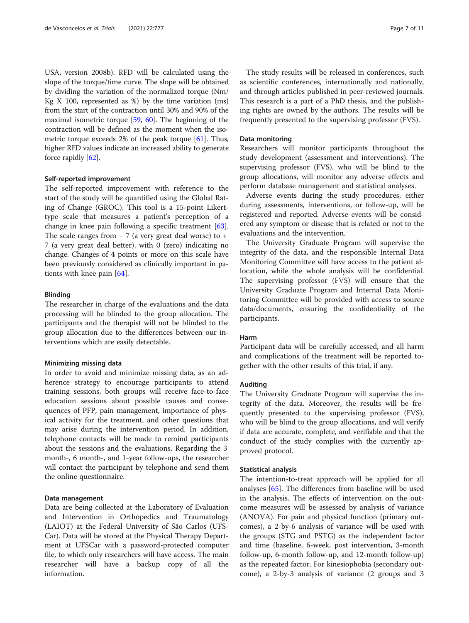USA, version 2008b). RFD will be calculated using the slope of the torque/time curve. The slope will be obtained by dividing the variation of the normalized torque (Nm/ Kg  $X$  100, represented as %) by the time variation (ms) from the start of the contraction until 30% and 90% of the maximal isometric torque [\[59,](#page-10-0) [60](#page-10-0)]. The beginning of the contraction will be defined as the moment when the isometric torque exceeds 2% of the peak torque [\[61\]](#page-10-0). Thus, higher RFD values indicate an increased ability to generate force rapidly [\[62](#page-10-0)].

#### Self-reported improvement

The self-reported improvement with reference to the start of the study will be quantified using the Global Rating of Change (GROC). This tool is a 15-point Likerttype scale that measures a patient's perception of a change in knee pain following a specific treatment [\[63](#page-10-0)]. The scale ranges from  $-7$  (a very great deal worse) to + 7 (a very great deal better), with 0 (zero) indicating no change. Changes of 4 points or more on this scale have been previously considered as clinically important in patients with knee pain [[64\]](#page-10-0).

#### Blinding

The researcher in charge of the evaluations and the data processing will be blinded to the group allocation. The participants and the therapist will not be blinded to the group allocation due to the differences between our interventions which are easily detectable.

#### Minimizing missing data

In order to avoid and minimize missing data, as an adherence strategy to encourage participants to attend training sessions, both groups will receive face-to-face education sessions about possible causes and consequences of PFP, pain management, importance of physical activity for the treatment, and other questions that may arise during the intervention period. In addition, telephone contacts will be made to remind participants about the sessions and the evaluations. Regarding the 3 month-, 6 month-, and 1-year follow-ups, the researcher will contact the participant by telephone and send them the online questionnaire.

#### Data management

Data are being collected at the Laboratory of Evaluation and Intervention in Orthopedics and Traumatology (LAIOT) at the Federal University of São Carlos (UFS-Car). Data will be stored at the Physical Therapy Department at UFSCar with a password-protected computer file, to which only researchers will have access. The main researcher will have a backup copy of all the information.

The study results will be released in conferences, such as scientific conferences, internationally and nationally, and through articles published in peer-reviewed journals. This research is a part of a PhD thesis, and the publishing rights are owned by the authors. The results will be frequently presented to the supervising professor (FVS).

#### Data monitoring

Researchers will monitor participants throughout the study development (assessment and interventions). The supervising professor (FVS), who will be blind to the group allocations, will monitor any adverse effects and perform database management and statistical analyses.

Adverse events during the study procedures, either during assessments, interventions, or follow-up, will be registered and reported. Adverse events will be considered any symptom or disease that is related or not to the evaluations and the intervention.

The University Graduate Program will supervise the integrity of the data, and the responsible Internal Data Monitoring Committee will have access to the patient allocation, while the whole analysis will be confidential. The supervising professor (FVS) will ensure that the University Graduate Program and Internal Data Monitoring Committee will be provided with access to source data/documents, ensuring the confidentiality of the participants.

#### Harm

Participant data will be carefully accessed, and all harm and complications of the treatment will be reported together with the other results of this trial, if any.

#### Auditing

The University Graduate Program will supervise the integrity of the data. Moreover, the results will be frequently presented to the supervising professor (FVS), who will be blind to the group allocations, and will verify if data are accurate, complete, and verifiable and that the conduct of the study complies with the currently approved protocol.

# Statistical analysis

The intention-to-treat approach will be applied for all analyses [\[65](#page-10-0)]. The differences from baseline will be used in the analysis. The effects of intervention on the outcome measures will be assessed by analysis of variance (ANOVA). For pain and physical function (primary outcomes), a 2-by-6 analysis of variance will be used with the groups (STG and PSTG) as the independent factor and time (baseline, 6-week, post intervention, 3-month follow-up, 6-month follow-up, and 12-month follow-up) as the repeated factor. For kinesiophobia (secondary outcome), a 2-by-3 analysis of variance (2 groups and 3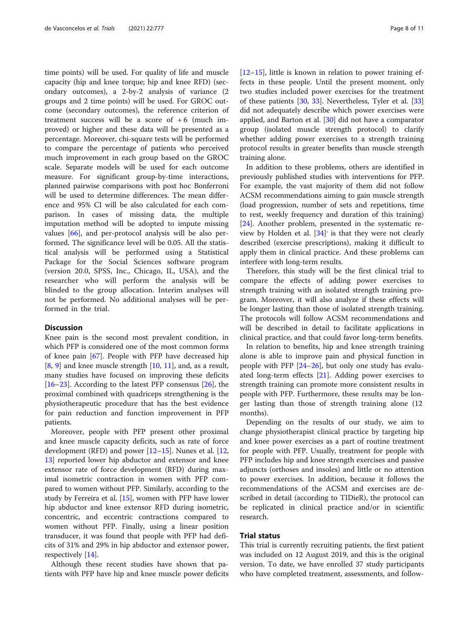time points) will be used. For quality of life and muscle capacity (hip and knee torque; hip and knee RFD) (secondary outcomes), a 2-by-2 analysis of variance (2 groups and 2 time points) will be used. For GROC outcome (secondary outcomes), the reference criterion of treatment success will be a score of  $+6$  (much improved) or higher and these data will be presented as a percentage. Moreover, chi-square tests will be performed to compare the percentage of patients who perceived much improvement in each group based on the GROC scale. Separate models will be used for each outcome measure. For significant group-by-time interactions, planned pairwise comparisons with post hoc Bonferroni will be used to determine differences. The mean difference and 95% CI will be also calculated for each comparison. In cases of missing data, the multiple imputation method will be adopted to impute missing values [\[66](#page-10-0)], and per-protocol analysis will be also performed. The significance level will be 0.05. All the statistical analysis will be performed using a Statistical Package for the Social Sciences software program (version 20.0, SPSS, Inc., Chicago, IL, USA), and the researcher who will perform the analysis will be blinded to the group allocation. Interim analyses will not be performed. No additional analyses will be performed in the trial.

#### **Discussion**

Knee pain is the second most prevalent condition, in which PFP is considered one of the most common forms of knee pain [\[67](#page-10-0)]. People with PFP have decreased hip [[8,](#page-8-0) [9\]](#page-8-0) and knee muscle strength [\[10,](#page-8-0) [11](#page-8-0)], and, as a result, many studies have focused on improving these deficits [[16](#page-9-0)–[23](#page-9-0)]. According to the latest PFP consensus  $[26]$  $[26]$ , the proximal combined with quadriceps strengthening is the physiotherapeutic procedure that has the best evidence for pain reduction and function improvement in PFP patients.

Moreover, people with PFP present other proximal and knee muscle capacity deficits, such as rate of force development (RFD) and power [\[12](#page-8-0)–[15\]](#page-9-0). Nunes et al. [[12](#page-8-0), [13\]](#page-8-0) reported lower hip abductor and extensor and knee extensor rate of force development (RFD) during maximal isometric contraction in women with PFP compared to women without PFP. Similarly, according to the study by Ferreira et al. [[15\]](#page-9-0), women with PFP have lower hip abductor and knee extensor RFD during isometric, concentric, and eccentric contractions compared to women without PFP. Finally, using a linear position transducer, it was found that people with PFP had deficits of 31% and 29% in hip abductor and extensor power, respectively [\[14](#page-8-0)].

Although these recent studies have shown that patients with PFP have hip and knee muscle power deficits [[12](#page-8-0)–[15](#page-9-0)], little is known in relation to power training effects in these people. Until the present moment, only two studies included power exercises for the treatment of these patients [\[30](#page-9-0), [33\]](#page-9-0). Nevertheless, Tyler et al. [[33](#page-9-0)] did not adequately describe which power exercises were applied, and Barton et al. [[30\]](#page-9-0) did not have a comparator group (isolated muscle strength protocol) to clarify whether adding power exercises to a strength training protocol results in greater benefits than muscle strength training alone.

In addition to these problems, others are identified in previously published studies with interventions for PFP. For example, the vast majority of them did not follow ACSM recommendations aiming to gain muscle strength (load progression, number of sets and repetitions, time to rest, weekly frequency and duration of this training) [[24\]](#page-9-0). Another problem, presented in the systematic re-view by Holden et al. [[34\]](#page-9-0)<sup>'</sup> is that they were not clearly described (exercise prescriptions), making it difficult to apply them in clinical practice. And these problems can interfere with long-term results.

Therefore, this study will be the first clinical trial to compare the effects of adding power exercises to strength training with an isolated strength training program. Moreover, it will also analyze if these effects will be longer lasting than those of isolated strength training. The protocols will follow ACSM recommendations and will be described in detail to facilitate applications in clinical practice, and that could favor long-term benefits.

In relation to benefits, hip and knee strength training alone is able to improve pain and physical function in people with PFP  $[24–26]$  $[24–26]$  $[24–26]$  $[24–26]$  $[24–26]$ , but only one study has evaluated long-term effects [\[21](#page-9-0)]. Adding power exercises to strength training can promote more consistent results in people with PFP. Furthermore, these results may be longer lasting than those of strength training alone (12 months).

Depending on the results of our study, we aim to change physiotherapist clinical practice by targeting hip and knee power exercises as a part of routine treatment for people with PFP. Usually, treatment for people with PFP includes hip and knee strength exercises and passive adjuncts (orthoses and insoles) and little or no attention to power exercises. In addition, because it follows the recommendations of the ACSM and exercises are described in detail (according to TIDieR), the protocol can be replicated in clinical practice and/or in scientific research.

# Trial status

This trial is currently recruiting patients, the first patient was included on 12 August 2019, and this is the original version. To date, we have enrolled 37 study participants who have completed treatment, assessments, and follow-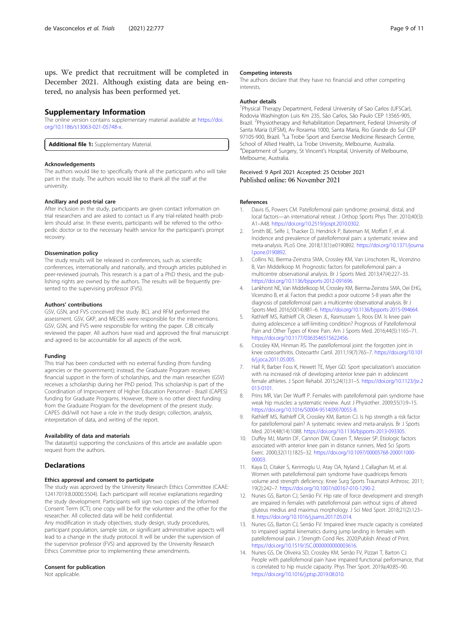<span id="page-8-0"></span>ups. We predict that recruitment will be completed in December 2021. Although existing data are being entered, no analysis has been performed yet.

#### Supplementary Information

The online version contains supplementary material available at [https://doi.](https://doi.org/10.1186/s13063-021-05748-x) [org/10.1186/s13063-021-05748-x](https://doi.org/10.1186/s13063-021-05748-x).

Additional file 1: Supplementary Material.

#### Acknowledgements

The authors would like to specifically thank all the participants who will take part in the study. The authors would like to thank all the staff at the university.

#### Ancillary and post-trial care

After inclusion in the study, participants are given contact information on trial researchers and are asked to contact us if any trial-related health problem should arise. In these events, participants will be referred to the orthopedic doctor or to the necessary health service for the participant's prompt recovery.

#### Dissemination policy

The study results will be released in conferences, such as scientific conferences, internationally and nationally, and through articles published in peer-reviewed journals. This research is a part of a PhD thesis, and the publishing rights are owned by the authors. The results will be frequently presented to the supervising professor (FVS).

#### Authors' contributions

GSV, GSN, and FVS conceived the study. BCL and RFM performed the assessment. GSV, GKP, and MECBS were responsible for the interventions. GSV, GSN, and FVS were responsible for writing the paper. CJB critically reviewed the paper. All authors have read and approved the final manuscript and agreed to be accountable for all aspects of the work.

#### Funding

This trial has been conducted with no external funding (from funding agencies or the government); instead, the Graduate Program receives financial support in the form of scholarships, and the main researcher (GSV) receives a scholarship during her PhD period. This scholarship is part of the Coordination of Improvement of Higher Education Personnel - Brazil (CAPES) funding for Graduate Programs. However, there is no other direct funding from the Graduate Program for the development of the present study. CAPES did/will not have a role in the study design; collection, analysis, interpretation of data, and writing of the report.

#### Availability of data and materials

The dataset(s) supporting the conclusions of this article are available upon request from the authors.

# Declarations

### Ethics approval and consent to participate

The study was approved by the University Research Ethics Committee (CAAE: 12417019.8.0000.5504). Each participant will receive explanations regarding the study development. Participants will sign two copies of the Informed Consent Term (ICT); one copy will be for the volunteer and the other for the researcher. All collected data will be held confidential. Any modification in study objectives, study design, study procedures, participant population, sample size, or significant administrative aspects will lead to a change in the study protocol. It will be under the supervision of the supervisor professor (FVS) and approved by the University Research Ethics Committee prior to implementing these amendments.

#### Consent for publication

Not applicable.

#### Competing interests

The authors declare that they have no financial and other competing interests.

#### Author details

<sup>1</sup> Physical Therapy Department, Federal University of Sao Carlos (UFSCar) Rodovia Washington Luis Km 235, São Carlos, São Paulo CEP 13565-905, Brazil. <sup>2</sup>Physiotherapy and Rehabilitation Department, Federal University of Santa Maria (UFSM), Av Roraima 1000, Santa Maria, Rio Grande do Sul CEP 97105-900, Brazil. <sup>3</sup>La Trobe Sport and Exercise Medicine Research Centre School of Allied Health, La Trobe University, Melbourne, Australia. 4 Department of Surgery, St Vincent's Hospital, University of Melbourne, Melbourne, Australia.

Received: 9 April 2021 Accepted: 25 October 2021 Published online: 06 November 2021

#### References

- 1. Davis IS, Powers CM. Patellofemoral pain syndrome: proximal, distal, and local factors—an international retreat. J Orthop Sports Phys Ther. 2010;40(3): A1–A48. [https://doi.org/10.2519/jospt.2010.0302.](https://doi.org/10.2519/jospt.2010.0302)
- 2. Smith BE, Selfe J, Thacker D, Hendrick P, Bateman M, Moffatt F, et al. Incidence and prevalence of patellofemoral pain: a systematic review and meta-analysis. PLoS One. 2018;13(1):e0190892. [https://doi.org/10.1371/journa](https://doi.org/10.1371/journal.pone.0190892) [l.pone.0190892](https://doi.org/10.1371/journal.pone.0190892).
- 3. Collins NJ, Bierma-Zeinstra SMA, Crossley KM, Van Linschoten RL, Vicenzino B, Van Middelkoop M. Prognostic factors for patellofemoral pain: a multicentre observational analysis. Br J Sports Med. 2013;47(4):227–33. [https://doi.org/10.1136/bjsports-2012-091696.](https://doi.org/10.1136/bjsports-2012-091696)
- 4. Lankhorst NE, Van Middelkoop M, Crossley KM, Bierma-Zeinstra SMA, Oei EHG, Vicenzino B, et al. Factors that predict a poor outcome 5-8 years after the diagnosis of patellofemoral pain: a multicentre observational analysis. Br J Sports Med. 2016;50(14):881–6. <https://doi.org/10.1136/bjsports-2015-094664>.
- 5. Rathleff MS, Rathleff CR, Olesen JL, Rasmussen S, Roos EM. Is knee pain during adolescence a self-limiting condition? Prognosis of Patellofemoral Pain and Other Types of Knee Pain. Am J Sports Med. 2016;44(5):1165–71. [https://doi.org/10.1177/0363546515622456.](https://doi.org/10.1177/0363546515622456)
- 6. Crossley KM, Hinman RS. The patellofemoral joint: the forgotten joint in knee osteoarthritis. Osteoarthr Cartil. 2011;19(7):765–7. [https://doi.org/10.101](https://doi.org/10.1016/j.joca.2011.05.005) [6/j.joca.2011.05.005](https://doi.org/10.1016/j.joca.2011.05.005).
- 7. Hall R, Barber Foss K, Hewett TE, Myer GD. Sport specialization's association with na increased risk of developing anterior knee pain in adolescent female athletes. J Sport Rehabil. 2015;24(1):31–5. [https://doi.org/10.1123/jsr.2](https://doi.org/10.1123/jsr.2013-0101) [013-0101.](https://doi.org/10.1123/jsr.2013-0101)
- 8. Prins MR, Van Der Wurff P. Females with patellofemoral pain syndrome have weak hip muscles: a systematic review. Aust J Physiother. 2009;55(1):9–15. [https://doi.org/10.1016/S0004-9514\(09\)70055-8.](https://doi.org/10.1016/S0004-9514(09)70055-8)
- 9. Rathleff MS, Rathleff CR, Crossley KM, Barton CJ. Is hip strength a risk factor for patellofemoral pain? A systematic review and meta-analysis. Br J Sports Med. 2014;48(14):1088. <https://doi.org/10.1136/bjsports-2013-093305>.
- 10. Duffey MJ, Martin DF, Cannon DW, Craven T, Messier SP. Etiologic factors associated with anterior knee pain in distance runners. Med Sci Sports Exerc. 2000;32(11):1825–32. [https://doi.org/10.1097/00005768-200011000-](https://doi.org/10.1097/00005768-200011000-00003) [00003.](https://doi.org/10.1097/00005768-200011000-00003)
- 11. Kaya D, Citaker S, Kerimoglu U, Atay OA, Nyland J, Callaghan M, et al. Women with patellofemoral pain syndrome have quadriceps femoris volume and strength deficiency. Knee Surg Sports Traumatol Arthrosc. 2011; 19(2):242–7. [https://doi.org/10.1007/s00167-010-1290-2.](https://doi.org/10.1007/s00167-010-1290-2)
- 12. Nunes GS, Barton CJ, Serrão FV. Hip rate of force development and strength are impaired in females with patellofemoral pain without signs of altered gluteus medius and maximus morphology. J Sci Med Sport. 2018;21(2):123– 8. <https://doi.org/10.1016/j.jsams.2017.05.014>.
- 13. Nunes GS, Barton CJ, Serrão FV. Impaired knee muscle capacity is correlated to impaired sagittal kinematics during jump landing in females with patellofemoral pain. J Strength Cond Res. 2020;Publish Ahead of Print. <https://doi.org/10.1519/JSC.0000000000003616>.
- 14. Nunes GS, De Oliveira SD, Crossley KM, Serrão FV, Pizzari T, Barton CJ. People with patellofemoral pain have impaired functional performance, that is correlated to hip muscle capacity. Phys Ther Sport. 2019a;40:85–90. <https://doi.org/10.1016/j.ptsp.2019.08.010>.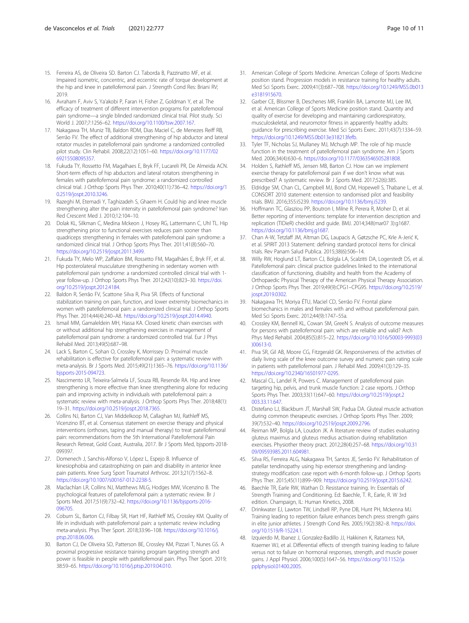- <span id="page-9-0"></span>15. Ferreira AS, de Oliveira SD. Barton CJ. Taborda B, Pazzinatto MF, et al. Impaired isometric, concentric, and eccentric rate of torque development at the hip and knee in patellofemoral pain. J Strength Cond Res: Briani RV; 2019.
- 16. Avraham F, Aviv S, Ya'akobi P, Faran H, Fisher Z, Goldman Y, et al. The efficacy of treatment of different intervention programs for patellofemoral pain syndrome—a single blinded randomized clinical trial. Pilot study. Sci World J. 2007;7:1256–62. [https://doi.org/10.1100/tsw.2007.167.](https://doi.org/10.1100/tsw.2007.167)
- 17. Nakagawa TH, Muniz TB, Baldon RDM, Dias Maciel C, de Menezes Reiff RB, Serrão FV. The effect of additional strengthening of hip abductor and lateral rotator muscles in patellofemoral pain syndrome: a randomized controlled pilot study. Clin Rehabil. 2008;22(12):1051–60. [https://doi.org/10.1177/02](https://doi.org/10.1177/0269215508095357) [69215508095357](https://doi.org/10.1177/0269215508095357).
- 18. Fukuda TY, Rossetto FM, Magalhaes E, Bryk FF, Lucareli PR, De Almeida ACN. Short-term effects of hip abductors and lateral rotators strengthening in females with patellofemoral pain syndrome: a randomized controlled clinical trial. J Orthop Sports Phys Ther. 2010;40(11):736–42. [https://doi.org/1](https://doi.org/10.2519/jospt.2010.3246) [0.2519/jospt.2010.3246.](https://doi.org/10.2519/jospt.2010.3246)
- 19. Razeghi M, Etemadi Y, Taghizadeh S, Ghaem H. Could hip and knee muscle strengthening alter the pain intensity in patellofemoral pain syndrome? Iran Red Crescent Med J. 2010;12:104–10.
- 20. Dolak KL, Silkman C, Medina Mckeon J, Hosey RG, Lattermann C, Uhl TL. Hip strengthening prior to functional exercises reduces pain sooner than quadriceps strengthening in females with patellofemoral pain syndrome: a randomized clinical trial. J Orthop Sports Phys Ther. 2011;41(8):560–70. <https://doi.org/10.2519/jospt.2011.3499>.
- 21. Fukuda TY, Melo WP, Zaffalon BM, Rossetto FM, Magalhães E, Bryk FF, et al. Hip posterolateral musculature strengthening in sedentary women with patellofemoral pain syndrome: a randomized controlled clinical trial with 1 year follow-up. J Orthop Sports Phys Ther. 2012;42(10):823–30. [https://doi.](https://doi.org/10.2519/jospt.2012.4184) [org/10.2519/jospt.2012.4184.](https://doi.org/10.2519/jospt.2012.4184)
- 22. Baldon R, Serrão FV, Scattone Silva R, Piva SR. Effects of functional stabilization training on pain, function, and lower extremity biomechanics in women with patellofemoral pain: a randomized clinical trial. J Orthop Sports Phys Ther. 2014;44(4):240–A8. <https://doi.org/10.2519/jospt.2014.4940>.
- 23. Ismail MM, Gamaleldein MH, Hassa KA. Closed kinetic chain exercises with or without additional hip strengthening exercises in management of patellofemoral pain syndrome: a randomized controlled trial. Eur J Phys Rehabil Med. 2013;49(5):687–98.
- 24. Lack S, Barton C, Sohan O, Crossley K, Morrissey D. Proximal muscle rehabilitation is effective for patellofemoral pain: a systematic review with meta-analysis. Br J Sports Med. 2015;49(21):1365–76. [https://doi.org/10.1136/](https://doi.org/10.1136/bjsports-2015-094723) [bjsports-2015-094723](https://doi.org/10.1136/bjsports-2015-094723).
- 25. Nascimento LR, Teixeira-Salmela LF, Souza RB, Resende RA. Hip and knee strengthening is more effective than knee strengthening alone for reducing pain and improving activity in individuals with patellofemoral pain: a systematic review with meta-analysis. J Orthop Sports Phys Ther. 2018;48(1): 19–31. <https://doi.org/10.2519/jospt.2018.7365>.
- 26. Collins NJ, Barton CJ, Van Middelkoop M, Callaghan MJ, Rathleff MS, Vicenzino BT, et al. Consensus statement on exercise therapy and physical interventions (orthoses, taping and manual therapy) to treat patellofemoral pain: recommendations from the 5th International Patellofemoral Pain Research Retreat, Gold Coast, Australia, 2017. Br J Sports Med, bjsports-2018- 099397.
- 27. Domenech J, Sanchis-Alfonso V, López L, Espejo B. Influence of kinesiophobia and catastrophizing on pain and disability in anterior knee pain patients. Knee Surg Sport Traumatol Arthrosc. 2013;21(7):1562–8. <https://doi.org/10.1007/s00167-012-2238-5>.
- 28. Maclachlan LR, Collins NJ, Matthews MLG, Hodges MW, Vicenzino B. The psychological features of patellofemoral pain: a systematic review. Br J Sports Med. 2017;51(9):732–42. [https://doi.org/10.1136/bjsports-2016-](https://doi.org/10.1136/bjsports-2016-096705) [096705](https://doi.org/10.1136/bjsports-2016-096705).
- 29. Coburn SL, Barton CJ, Filbay SR, Hart HF, Rathleff MS, Crossley KM. Quality of life in individuals with patellofemoral pain: a systematic review including meta-analysis. Phys Ther Sport. 2018;33:96–108. [https://doi.org/10.1016/j.](https://doi.org/10.1016/j.ptsp.2018.06.006) [ptsp.2018.06.006](https://doi.org/10.1016/j.ptsp.2018.06.006).
- 30. Barton CJ, De Oliveira SD, Patterson BE, Crossley KM, Pizzari T, Nunes GS. A proximal progressive resistance training program targeting strength and power is feasible in people with patellofemoral pain. Phys Ther Sport. 2019; 38:59–65. [https://doi.org/10.1016/j.ptsp.2019.04.010.](https://doi.org/10.1016/j.ptsp.2019.04.010)
- 31. American College of Sports Medicine. American College of Sports Medicine position stand. Progression models in resistance training for healthy adults. Med Sci Sports Exerc. 2009;41(3):687–708. [https://doi.org/10.1249/MSS.0b013](https://doi.org/10.1249/MSS.0b013e3181915670) [e3181915670](https://doi.org/10.1249/MSS.0b013e3181915670).
- 32. Garber CE, Blissmer B, Deschenes MR, Franklin BA, Lamonte MJ, Lee IM, et al. American College of Sports Medicine position stand. Quantity and quality of exercise for developing and maintaining cardiorespiratory, musculoskeletal, and neuromotor fitness in apparently healthy adults: guidance for prescribing exercise. Med Sci Sports Exerc. 2011;43(7):1334–59. [https://doi.org/10.1249/MSS.0b013e318213fefb.](https://doi.org/10.1249/MSS.0b013e318213fefb)
- 33. Tyler TF, Nicholas SJ, Mullaney MJ, Mchugh MP. The role of hip muscle function in the treatment of patellofemoral pain syndrome. Am J Sports Med. 2006;34(4):630–6. <https://doi.org/10.1177/0363546505281808>.
- 34. Holden S, Rathleff MS, Jensen MB, Barton CJ. How can we implement exercise therapy for patellofemoral pain if we don't know what was prescribed? A systematic review. Br J Sports Med. 2017;52(6):385.
- 35. Eldridge SM, Chan CL, Campbell MJ, Bond CM, Hopewell S, Thabane L, et al. CONSORT 2010 statement: extension to randomised pilot and feasibility trials. BMJ. 2016;355:i5239. <https://doi.org/10.1136/bmj.i5239>.
- 36. Hoffmann TC, Glasziou PP, Boutron I, Milne R, Perera R, Moher D, et al. Better reporting of interventions: template for intervention description and replication (TIDieR) checklist and guide. BMJ. 2014;348(mar07 3):g1687. [https://doi.org/10.1136/bmj.g1687.](https://doi.org/10.1136/bmj.g1687)
- 37. Chan A-W, Tetzlaff JM, Altman DG, Laupacis A, Gøtzsche PC, Krle A-Jerić K, et al. SPIRIT 2013 Statement: defining standard protocol items for clinical trials. Rev Panam Salud Publica. 2015;38(6):506–14.
- 38. Willy RW, Hoglund LT, Barton CJ, Bolgla LA, Scalzitti DA, Logerstedt DS, et al. Patellofemoral pain: clinical practice guidelines linked to the international classification of functioning, disability and health from the Academy of Orthopaedic Physical Therapy of the American Physical Therapy Association. J Orthop Sports Phys Ther. 2019;49(9):CPG1–CPG95. [https://doi.org/10.2519/](https://doi.org/10.2519/jospt.2019.0302) [jospt.2019.0302](https://doi.org/10.2519/jospt.2019.0302).
- 39. Nakagawa TH, Moriya ÉTU, Maciel CD, Serrão FV. Frontal plane biomechanics in males and females with and without patellofemoral pain. Med Sci Sports Exerc. 2012;44(9):1747–55a.
- 40. Crossley KM, Bennell KL, Cowan SM, GreeN S. Analysis of outcome measures for persons with patellofemoral pain: which are reliable and valid? Arch Phys Med Rehabil. 2004;85(5):815–22. [https://doi.org/10.1016/S0003-9993\(03](https://doi.org/10.1016/S0003-9993(03)00613-0) [\)00613-0](https://doi.org/10.1016/S0003-9993(03)00613-0).
- 41. Piva SR, Gil AB, Moore CG, Fitzgerald GK. Responsiveness of the activities of daily living scale of the knee outcome survey and numeric pain rating scale in patients with patellofemoral pain. J Rehabil Med. 2009;41(3):129–35. [https://doi.org/10.2340/16501977-0295.](https://doi.org/10.2340/16501977-0295)
- 42. Mascal CL, Landel R, Powers C. Management of patellofemoral pain targeting hip, pelvis, and trunk muscle function: 2 case reports. J Orthop Sports Phys Ther. 2003;33(11):647–60. [https://doi.org/10.2519/jospt.2](https://doi.org/10.2519/jospt.2003.33.11.647) [003.33.11.647](https://doi.org/10.2519/jospt.2003.33.11.647).
- 43. Distefano LJ, Blackburn JT, Marshall SW, Padua DA. Gluteal muscle activation during common therapeutic exercises. J Orthop Sports Phys Ther. 2009; 39(7):532–40. [https://doi.org/10.2519/jospt.2009.2796.](https://doi.org/10.2519/jospt.2009.2796)
- 44. Reiman MP, Bolgla LA, Loudon JK. A literature review of studies evaluating gluteus maximus and gluteus medius activation during rehabilitation exercises. Physiother theory pract. 2012;28(4):257–68. [https://doi.org/10.31](https://doi.org/10.3109/09593985.2011.604981) [09/09593985.2011.604981.](https://doi.org/10.3109/09593985.2011.604981)
- 45. Silva RS, Ferreira ALG, Nakagawa TH, Santos JE, Serrão FV. Rehabilitation of patellar tendinopathy using hip extensor strengthening and landingstrategy modification: case report with 6-month follow-up. J Orthop Sports Phys Ther. 2015;45(11):899–909. <https://doi.org/10.2519/jospt.2015.6242>.
- 46. Baechle TR, Earle RW, Wathan D. Resistance training. In: Essentials of Strength Training and Conditioning. Ed: Baechle, T. R., Earle, R. W 3rd edition. Champaign, IL: Human Kinetics, 2008.
- 47. Drinkwater EJ, Lawton TW, Lindsell RP, Pyne DB, Hunt PH, Mckenna MJ. Training leading to repetition failure enhances bench press strength gains in elite junior athletes. J Strength Cond Res. 2005;19(2):382–8. [https://doi.](https://doi.org/10.1519/R-15224.1) [org/10.1519/R-15224.1](https://doi.org/10.1519/R-15224.1).
- 48. Izquierdo M, Ibanez J, Gonzalez-Badillo JJ, Hakkinen K, Ratamess NA, Kraemer WJ, et al. Differential effects of strength training leading to failure versus not to failure on hormonal responses, strength, and muscle power gains. J Appl Physiol. 2006;100(5):1647–56. [https://doi.org/10.1152/ja](https://doi.org/10.1152/japplphysiol.01400.2005) [pplphysiol.01400.2005](https://doi.org/10.1152/japplphysiol.01400.2005).